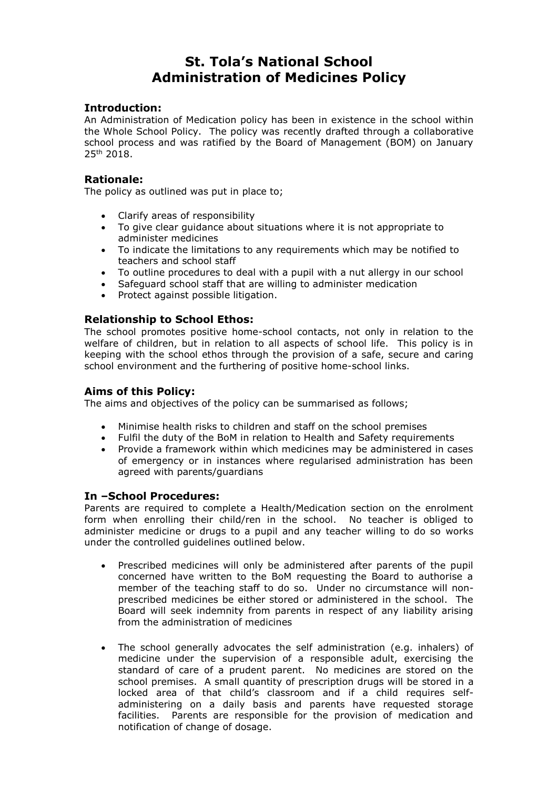# **St. Tola's National School Administration of Medicines Policy**

# **Introduction:**

An Administration of Medication policy has been in existence in the school within the Whole School Policy. The policy was recently drafted through a collaborative school process and was ratified by the Board of Management (BOM) on January 25<sup>th</sup> 2018.

# **Rationale:**

The policy as outlined was put in place to;

- Clarify areas of responsibility
- To give clear guidance about situations where it is not appropriate to administer medicines
- To indicate the limitations to any requirements which may be notified to teachers and school staff
- To outline procedures to deal with a pupil with a nut allergy in our school<br>• Safequard school staff that are willing to administer medication
- Safeguard school staff that are willing to administer medication
- Protect against possible litigation.

# **Relationship to School Ethos:**

The school promotes positive home-school contacts, not only in relation to the welfare of children, but in relation to all aspects of school life. This policy is in keeping with the school ethos through the provision of a safe, secure and caring school environment and the furthering of positive home-school links.

# **Aims of this Policy:**

The aims and objectives of the policy can be summarised as follows;

- Minimise health risks to children and staff on the school premises
- Fulfil the duty of the BoM in relation to Health and Safety requirements
- Provide a framework within which medicines may be administered in cases of emergency or in instances where regularised administration has been agreed with parents/guardians

# **In –School Procedures:**

Parents are required to complete a Health/Medication section on the enrolment form when enrolling their child/ren in the school. No teacher is obliged to administer medicine or drugs to a pupil and any teacher willing to do so works under the controlled guidelines outlined below.

- Prescribed medicines will only be administered after parents of the pupil concerned have written to the BoM requesting the Board to authorise a member of the teaching staff to do so. Under no circumstance will nonprescribed medicines be either stored or administered in the school. The Board will seek indemnity from parents in respect of any liability arising from the administration of medicines
- The school generally advocates the self administration (e.g. inhalers) of medicine under the supervision of a responsible adult, exercising the standard of care of a prudent parent. No medicines are stored on the school premises. A small quantity of prescription drugs will be stored in a locked area of that child's classroom and if a child requires selfadministering on a daily basis and parents have requested storage facilities. Parents are responsible for the provision of medication and notification of change of dosage.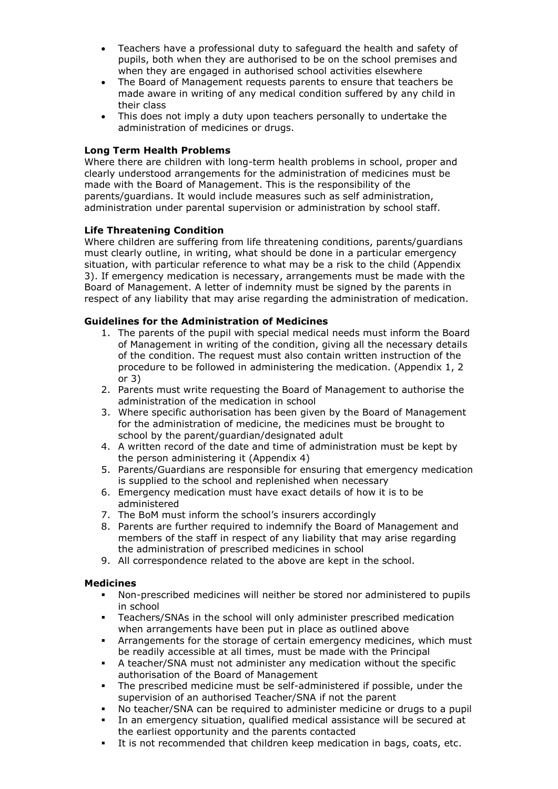- Teachers have a professional duty to safeguard the health and safety of pupils, both when they are authorised to be on the school premises and when they are engaged in authorised school activities elsewhere
- The Board of Management requests parents to ensure that teachers be made aware in writing of any medical condition suffered by any child in their class
- This does not imply a duty upon teachers personally to undertake the administration of medicines or drugs.

# **Long Term Health Problems**

Where there are children with long-term health problems in school, proper and clearly understood arrangements for the administration of medicines must be made with the Board of Management. This is the responsibility of the parents/guardians. It would include measures such as self administration, administration under parental supervision or administration by school staff.

# **Life Threatening Condition**

Where children are suffering from life threatening conditions, parents/guardians must clearly outline, in writing, what should be done in a particular emergency situation, with particular reference to what may be a risk to the child (Appendix 3). If emergency medication is necessary, arrangements must be made with the Board of Management. A letter of indemnity must be signed by the parents in respect of any liability that may arise regarding the administration of medication.

# **Guidelines for the Administration of Medicines**

- 1. The parents of the pupil with special medical needs must inform the Board of Management in writing of the condition, giving all the necessary details of the condition. The request must also contain written instruction of the procedure to be followed in administering the medication. (Appendix 1, 2 or 3)
- 2. Parents must write requesting the Board of Management to authorise the administration of the medication in school
- 3. Where specific authorisation has been given by the Board of Management for the administration of medicine, the medicines must be brought to school by the parent/guardian/designated adult
- 4. A written record of the date and time of administration must be kept by the person administering it (Appendix 4)
- 5. Parents/Guardians are responsible for ensuring that emergency medication is supplied to the school and replenished when necessary
- 6. Emergency medication must have exact details of how it is to be administered
- 7. The BoM must inform the school's insurers accordingly
- 8. Parents are further required to indemnify the Board of Management and members of the staff in respect of any liability that may arise regarding the administration of prescribed medicines in school
- 9. All correspondence related to the above are kept in the school.

#### **Medicines**

- Non-prescribed medicines will neither be stored nor administered to pupils in school
- Teachers/SNAs in the school will only administer prescribed medication when arrangements have been put in place as outlined above
- Arrangements for the storage of certain emergency medicines, which must be readily accessible at all times, must be made with the Principal
- A teacher/SNA must not administer any medication without the specific authorisation of the Board of Management
- The prescribed medicine must be self-administered if possible, under the supervision of an authorised Teacher/SNA if not the parent
- No teacher/SNA can be required to administer medicine or drugs to a pupil
- In an emergency situation, qualified medical assistance will be secured at the earliest opportunity and the parents contacted
- It is not recommended that children keep medication in bags, coats, etc.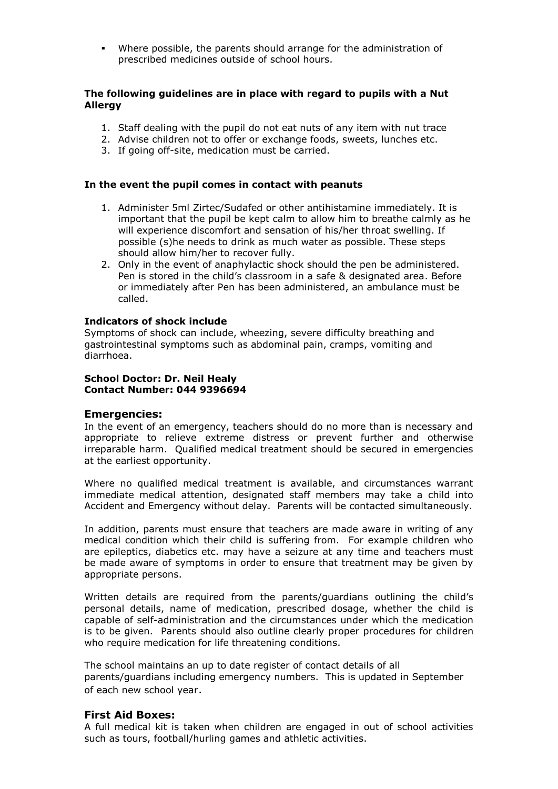Where possible, the parents should arrange for the administration of prescribed medicines outside of school hours.

# **The following guidelines are in place with regard to pupils with a Nut Allergy**

- 1. Staff dealing with the pupil do not eat nuts of any item with nut trace
- 2. Advise children not to offer or exchange foods, sweets, lunches etc.
- 3. If going off-site, medication must be carried.

#### **In the event the pupil comes in contact with peanuts**

- 1. Administer 5ml Zirtec/Sudafed or other antihistamine immediately. It is important that the pupil be kept calm to allow him to breathe calmly as he will experience discomfort and sensation of his/her throat swelling. If possible (s)he needs to drink as much water as possible. These steps should allow him/her to recover fully.
- 2. Only in the event of anaphylactic shock should the pen be administered. Pen is stored in the child's classroom in a safe & designated area. Before or immediately after Pen has been administered, an ambulance must be called.

# **Indicators of shock include**

Symptoms of shock can include, wheezing, severe difficulty breathing and gastrointestinal symptoms such as abdominal pain, cramps, vomiting and diarrhoea.

#### **School Doctor: Dr. Neil Healy Contact Number: 044 9396694**

#### **Emergencies:**

In the event of an emergency, teachers should do no more than is necessary and appropriate to relieve extreme distress or prevent further and otherwise irreparable harm. Qualified medical treatment should be secured in emergencies at the earliest opportunity.

Where no qualified medical treatment is available, and circumstances warrant immediate medical attention, designated staff members may take a child into Accident and Emergency without delay. Parents will be contacted simultaneously.

In addition, parents must ensure that teachers are made aware in writing of any medical condition which their child is suffering from. For example children who are epileptics, diabetics etc. may have a seizure at any time and teachers must be made aware of symptoms in order to ensure that treatment may be given by appropriate persons.

Written details are required from the parents/guardians outlining the child's personal details, name of medication, prescribed dosage, whether the child is capable of self-administration and the circumstances under which the medication is to be given. Parents should also outline clearly proper procedures for children who require medication for life threatening conditions.

The school maintains an up to date register of contact details of all parents/guardians including emergency numbers. This is updated in September of each new school year.

# **First Aid Boxes:**

A full medical kit is taken when children are engaged in out of school activities such as tours, football/hurling games and athletic activities.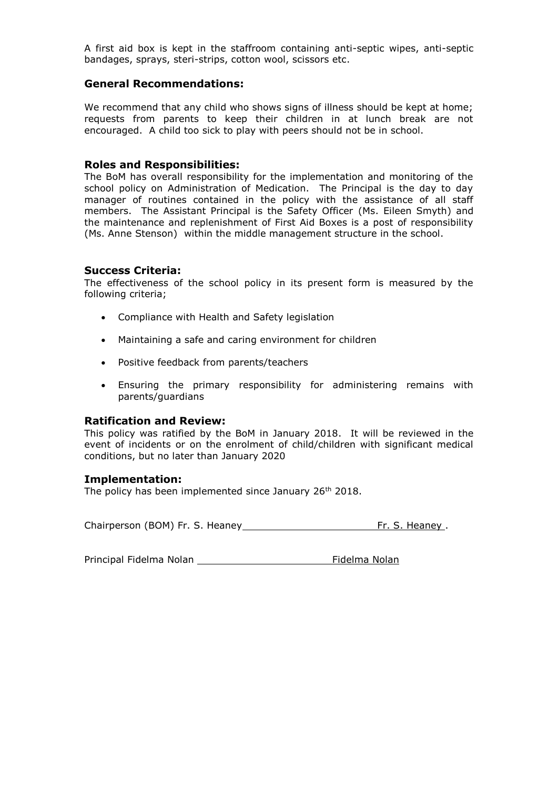A first aid box is kept in the staffroom containing anti-septic wipes, anti-septic bandages, sprays, steri-strips, cotton wool, scissors etc.

#### **General Recommendations:**

We recommend that any child who shows signs of illness should be kept at home; requests from parents to keep their children in at lunch break are not encouraged. A child too sick to play with peers should not be in school.

#### **Roles and Responsibilities:**

The BoM has overall responsibility for the implementation and monitoring of the school policy on Administration of Medication. The Principal is the day to day manager of routines contained in the policy with the assistance of all staff members. The Assistant Principal is the Safety Officer (Ms. Eileen Smyth) and the maintenance and replenishment of First Aid Boxes is a post of responsibility (Ms. Anne Stenson) within the middle management structure in the school.

# **Success Criteria:**

The effectiveness of the school policy in its present form is measured by the following criteria;

- Compliance with Health and Safety legislation
- Maintaining a safe and caring environment for children
- Positive feedback from parents/teachers
- Ensuring the primary responsibility for administering remains with parents/guardians

# **Ratification and Review:**

This policy was ratified by the BoM in January 2018. It will be reviewed in the event of incidents or on the enrolment of child/children with significant medical conditions, but no later than January 2020

#### **Implementation:**

The policy has been implemented since January 26<sup>th</sup> 2018.

Chairperson (BOM) Fr. S. Heaney **Fr. S. Heaney** .

Principal Fidelma Nolan **Fidelma Nolan** Fidelma Nolan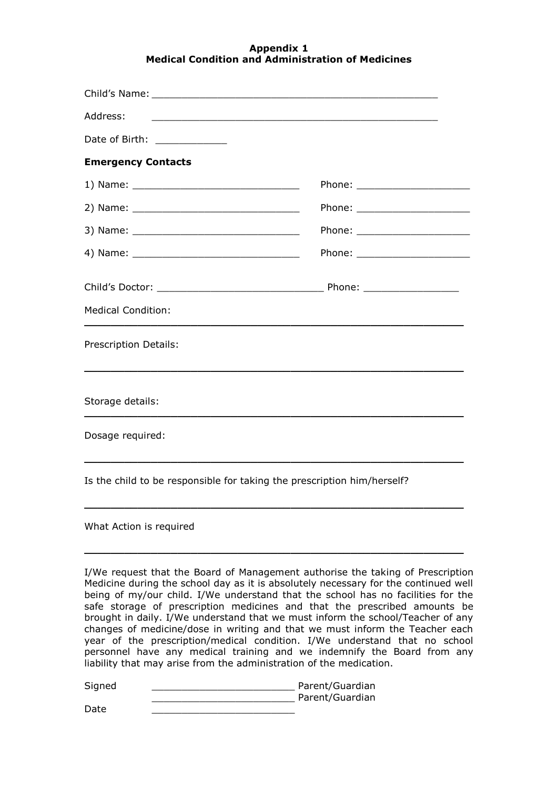# **Appendix 1 Medical Condition and Administration of Medicines**

| Address:                                                                |  |
|-------------------------------------------------------------------------|--|
| Date of Birth: _____________                                            |  |
| <b>Emergency Contacts</b>                                               |  |
|                                                                         |  |
|                                                                         |  |
|                                                                         |  |
|                                                                         |  |
| <b>Medical Condition:</b>                                               |  |
| Prescription Details:                                                   |  |
| Storage details:                                                        |  |
| Dosage required:                                                        |  |
| Is the child to be responsible for taking the prescription him/herself? |  |

What Action is required

I/We request that the Board of Management authorise the taking of Prescription Medicine during the school day as it is absolutely necessary for the continued well being of my/our child. I/We understand that the school has no facilities for the safe storage of prescription medicines and that the prescribed amounts be brought in daily. I/We understand that we must inform the school/Teacher of any changes of medicine/dose in writing and that we must inform the Teacher each year of the prescription/medical condition. I/We understand that no school personnel have any medical training and we indemnify the Board from any liability that may arise from the administration of the medication.

**\_\_\_\_\_\_\_\_\_\_\_\_\_\_\_\_\_\_\_\_\_\_\_\_\_\_\_\_\_\_\_\_\_\_\_\_\_\_\_\_\_\_\_\_\_\_\_\_\_\_\_\_\_\_\_\_\_**

**\_\_\_\_\_\_\_\_\_\_\_\_\_\_\_\_\_\_\_\_\_\_\_\_\_\_\_\_\_\_\_\_\_\_\_\_\_\_\_\_\_\_\_\_\_\_\_\_\_\_\_\_\_\_\_\_\_**

Signed \_\_\_\_\_\_\_\_\_\_\_\_\_\_\_\_\_\_\_\_\_\_\_\_ Parent/Guardian enter and the parent/Guardian

Date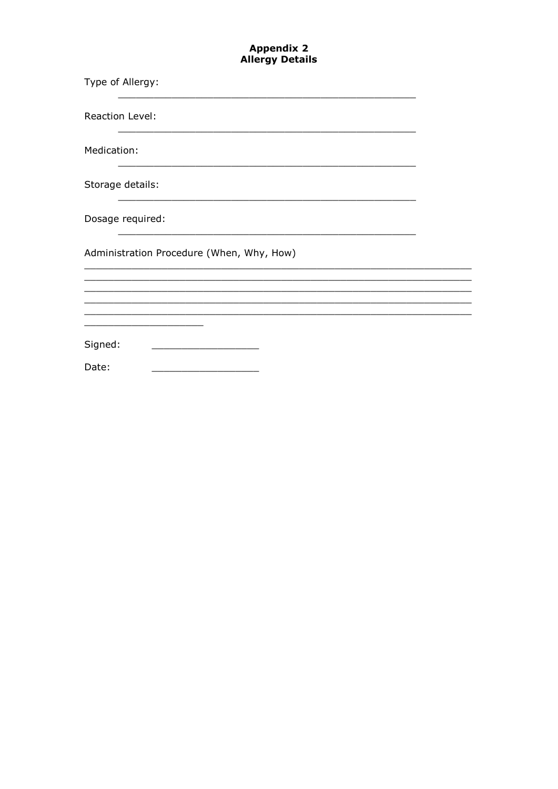# **Appendix 2<br>Allergy Details**

| Type of Allergy:                          |  |
|-------------------------------------------|--|
| <b>Reaction Level:</b>                    |  |
| Medication:                               |  |
| Storage details:                          |  |
| Dosage required:                          |  |
| Administration Procedure (When, Why, How) |  |
|                                           |  |
|                                           |  |
| Signed:                                   |  |
| Date:                                     |  |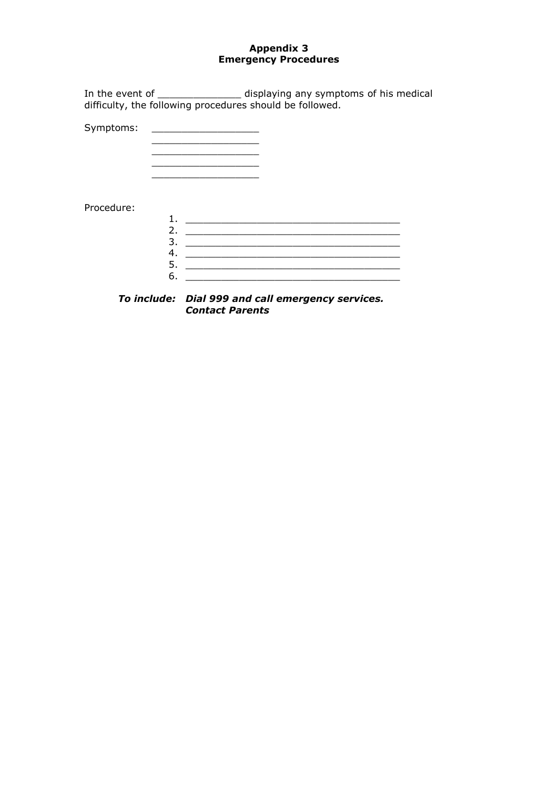# **Appendix 3 Emergency Procedures**

In the event of \_\_\_\_\_\_\_\_\_\_\_\_\_\_\_\_\_\_ displaying any symptoms of his medical difficulty, the following procedures should be followed.

Symptoms: \_\_\_\_\_\_\_\_\_\_\_\_\_\_\_\_\_\_

\_\_\_\_\_\_\_\_\_\_\_\_\_\_\_\_\_\_  $\mathcal{L}=\mathcal{L}^{\mathcal{L}}$  , where  $\mathcal{L}^{\mathcal{L}}$  $\_$ \_\_\_\_\_\_\_\_\_\_\_\_\_\_\_\_\_\_

# Procedure:

| 2             |  |
|---------------|--|
| $\mathcal{E}$ |  |
|               |  |
| 5             |  |
|               |  |
|               |  |

*To include: Dial 999 and call emergency services. Contact Parents*